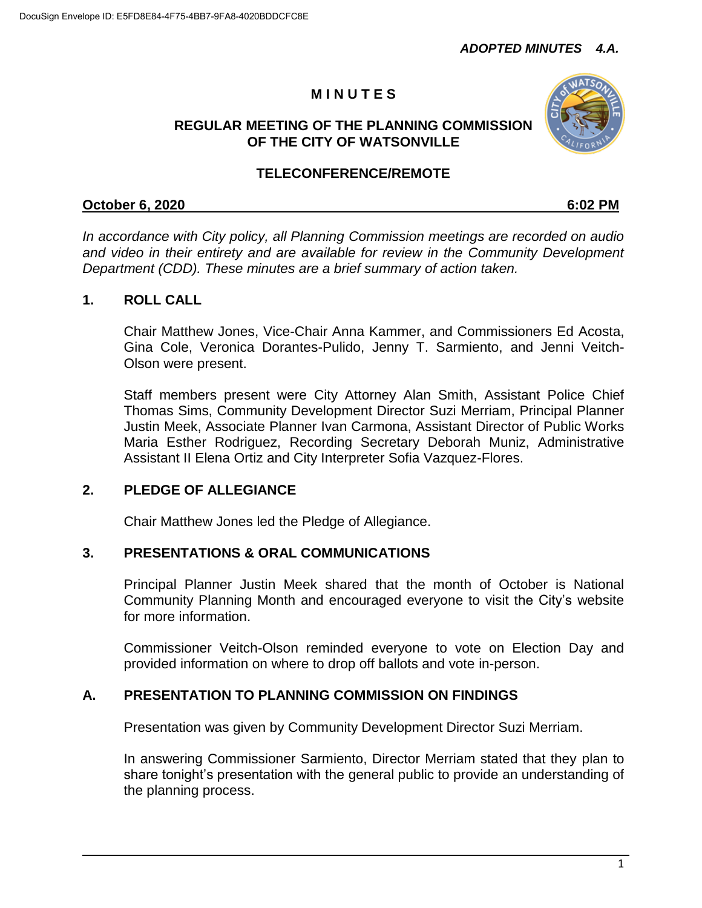# **M I N U T E S**

#### **REGULAR MEETING OF THE PLANNING COMMISSION OF THE CITY OF WATSONVILLE**



### **TELECONFERENCE/REMOTE**

#### **October 6, 2020 6:02 PM**

*In accordance with City policy, all Planning Commission meetings are recorded on audio and video in their entirety and are available for review in the Community Development Department (CDD). These minutes are a brief summary of action taken.*

# **1. ROLL CALL**

Chair Matthew Jones, Vice-Chair Anna Kammer, and Commissioners Ed Acosta, Gina Cole, Veronica Dorantes-Pulido, Jenny T. Sarmiento, and Jenni Veitch-Olson were present.

Staff members present were City Attorney Alan Smith, Assistant Police Chief Thomas Sims, Community Development Director Suzi Merriam, Principal Planner Justin Meek, Associate Planner Ivan Carmona, Assistant Director of Public Works Maria Esther Rodriguez, Recording Secretary Deborah Muniz, Administrative Assistant II Elena Ortiz and City Interpreter Sofia Vazquez-Flores.

### **2. PLEDGE OF ALLEGIANCE**

Chair Matthew Jones led the Pledge of Allegiance.

# **3. PRESENTATIONS & ORAL COMMUNICATIONS**

Principal Planner Justin Meek shared that the month of October is National Community Planning Month and encouraged everyone to visit the City's website for more information.

Commissioner Veitch-Olson reminded everyone to vote on Election Day and provided information on where to drop off ballots and vote in-person.

# **A. PRESENTATION TO PLANNING COMMISSION ON FINDINGS**

Presentation was given by Community Development Director Suzi Merriam.

In answering Commissioner Sarmiento, Director Merriam stated that they plan to share tonight's presentation with the general public to provide an understanding of the planning process.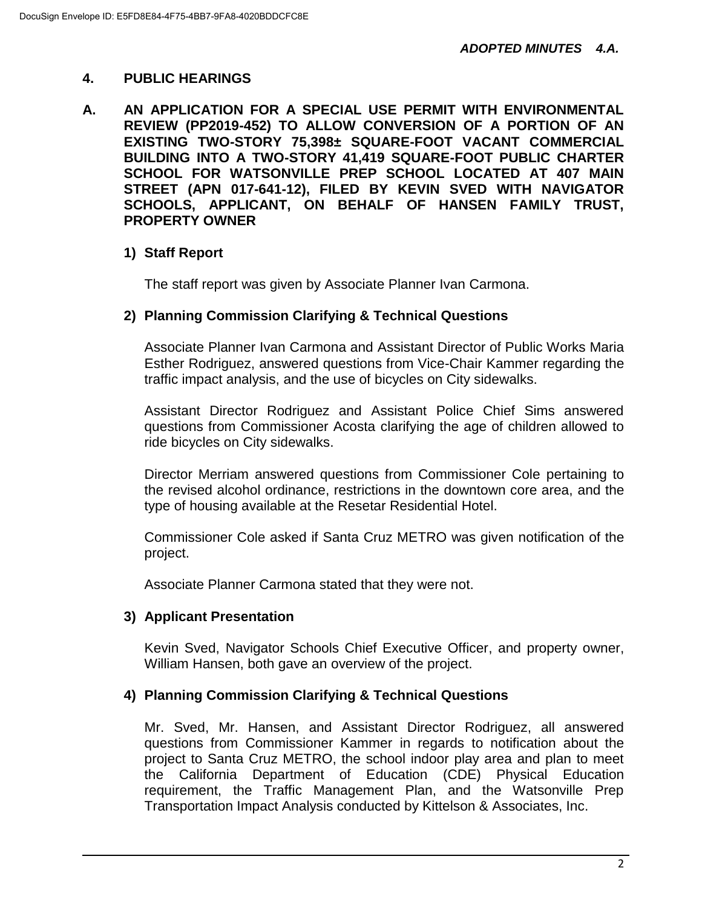## **4. PUBLIC HEARINGS**

**A. AN APPLICATION FOR A SPECIAL USE PERMIT WITH ENVIRONMENTAL REVIEW (PP2019-452) TO ALLOW CONVERSION OF A PORTION OF AN EXISTING TWO-STORY 75,398± SQUARE-FOOT VACANT COMMERCIAL BUILDING INTO A TWO-STORY 41,419 SQUARE-FOOT PUBLIC CHARTER SCHOOL FOR WATSONVILLE PREP SCHOOL LOCATED AT 407 MAIN STREET (APN 017-641-12), FILED BY KEVIN SVED WITH NAVIGATOR SCHOOLS, APPLICANT, ON BEHALF OF HANSEN FAMILY TRUST, PROPERTY OWNER**

# **1) Staff Report**

The staff report was given by Associate Planner Ivan Carmona.

### **2) Planning Commission Clarifying & Technical Questions**

Associate Planner Ivan Carmona and Assistant Director of Public Works Maria Esther Rodriguez, answered questions from Vice-Chair Kammer regarding the traffic impact analysis, and the use of bicycles on City sidewalks.

Assistant Director Rodriguez and Assistant Police Chief Sims answered questions from Commissioner Acosta clarifying the age of children allowed to ride bicycles on City sidewalks.

Director Merriam answered questions from Commissioner Cole pertaining to the revised alcohol ordinance, restrictions in the downtown core area, and the type of housing available at the Resetar Residential Hotel.

Commissioner Cole asked if Santa Cruz METRO was given notification of the project.

Associate Planner Carmona stated that they were not.

### **3) Applicant Presentation**

Kevin Sved, Navigator Schools Chief Executive Officer, and property owner, William Hansen, both gave an overview of the project.

### **4) Planning Commission Clarifying & Technical Questions**

Mr. Sved, Mr. Hansen, and Assistant Director Rodriguez, all answered questions from Commissioner Kammer in regards to notification about the project to Santa Cruz METRO, the school indoor play area and plan to meet the California Department of Education (CDE) Physical Education requirement, the Traffic Management Plan, and the Watsonville Prep Transportation Impact Analysis conducted by Kittelson & Associates, Inc.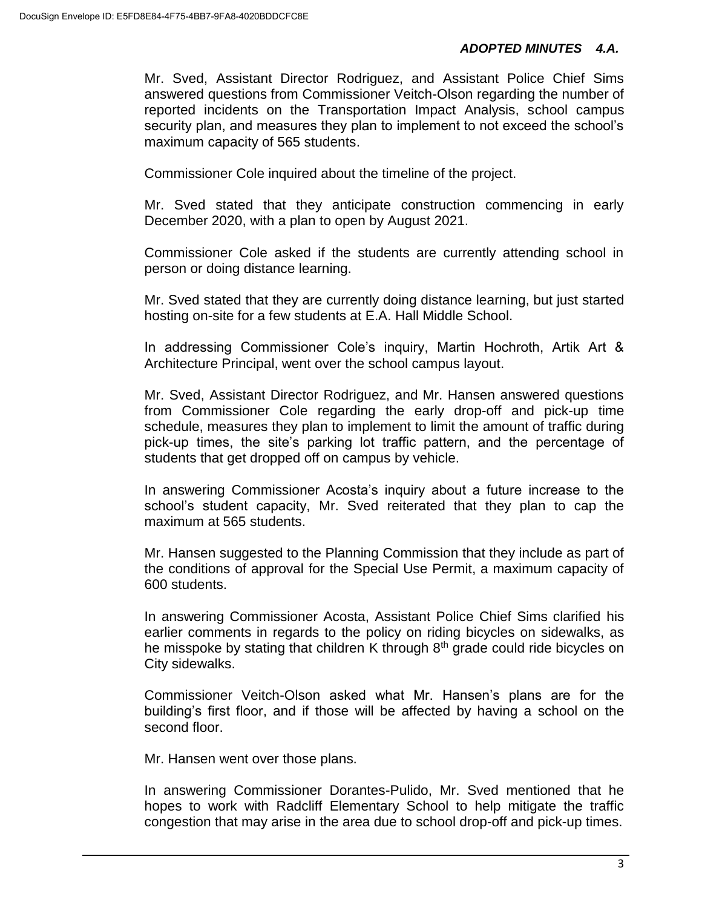#### *ADOPTED MINUTES 4.A.*

Mr. Sved, Assistant Director Rodriguez, and Assistant Police Chief Sims answered questions from Commissioner Veitch-Olson regarding the number of reported incidents on the Transportation Impact Analysis, school campus security plan, and measures they plan to implement to not exceed the school's maximum capacity of 565 students.

Commissioner Cole inquired about the timeline of the project.

Mr. Sved stated that they anticipate construction commencing in early December 2020, with a plan to open by August 2021.

Commissioner Cole asked if the students are currently attending school in person or doing distance learning.

Mr. Sved stated that they are currently doing distance learning, but just started hosting on-site for a few students at E.A. Hall Middle School.

In addressing Commissioner Cole's inquiry, Martin Hochroth, Artik Art & Architecture Principal, went over the school campus layout.

Mr. Sved, Assistant Director Rodriguez, and Mr. Hansen answered questions from Commissioner Cole regarding the early drop-off and pick-up time schedule, measures they plan to implement to limit the amount of traffic during pick-up times, the site's parking lot traffic pattern, and the percentage of students that get dropped off on campus by vehicle.

In answering Commissioner Acosta's inquiry about a future increase to the school's student capacity, Mr. Sved reiterated that they plan to cap the maximum at 565 students.

Mr. Hansen suggested to the Planning Commission that they include as part of the conditions of approval for the Special Use Permit, a maximum capacity of 600 students.

In answering Commissioner Acosta, Assistant Police Chief Sims clarified his earlier comments in regards to the policy on riding bicycles on sidewalks, as he misspoke by stating that children K through  $8<sup>th</sup>$  grade could ride bicycles on City sidewalks.

Commissioner Veitch-Olson asked what Mr. Hansen's plans are for the building's first floor, and if those will be affected by having a school on the second floor.

Mr. Hansen went over those plans.

In answering Commissioner Dorantes-Pulido, Mr. Sved mentioned that he hopes to work with Radcliff Elementary School to help mitigate the traffic congestion that may arise in the area due to school drop-off and pick-up times.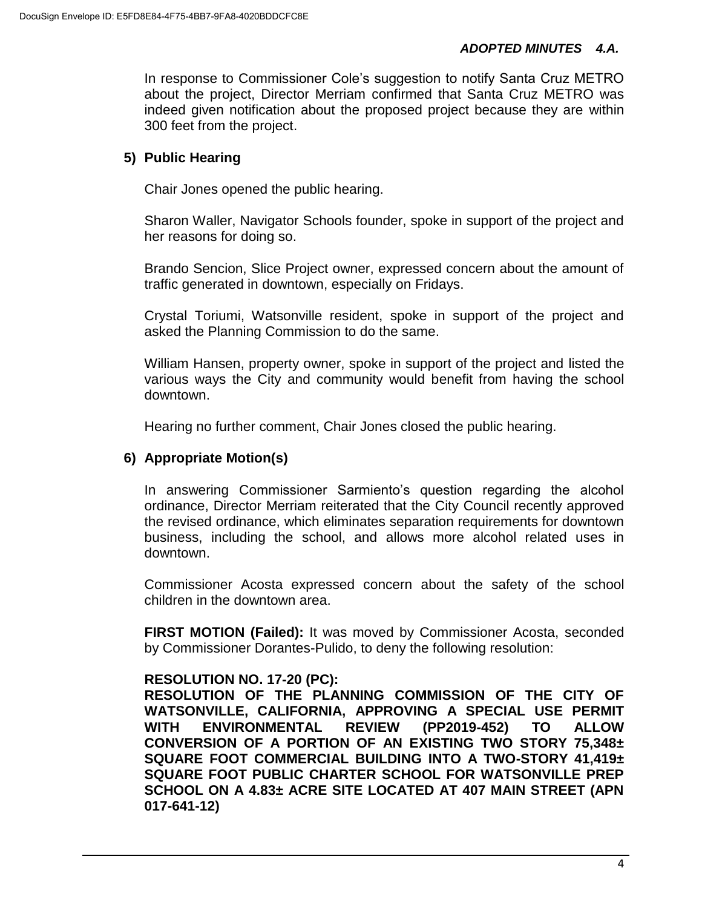#### *ADOPTED MINUTES 4.A.*

In response to Commissioner Cole's suggestion to notify Santa Cruz METRO about the project, Director Merriam confirmed that Santa Cruz METRO was indeed given notification about the proposed project because they are within 300 feet from the project.

#### **5) Public Hearing**

Chair Jones opened the public hearing.

Sharon Waller, Navigator Schools founder, spoke in support of the project and her reasons for doing so.

Brando Sencion, Slice Project owner, expressed concern about the amount of traffic generated in downtown, especially on Fridays.

Crystal Toriumi, Watsonville resident, spoke in support of the project and asked the Planning Commission to do the same.

William Hansen, property owner, spoke in support of the project and listed the various ways the City and community would benefit from having the school downtown.

Hearing no further comment, Chair Jones closed the public hearing.

#### **6) Appropriate Motion(s)**

In answering Commissioner Sarmiento's question regarding the alcohol ordinance, Director Merriam reiterated that the City Council recently approved the revised ordinance, which eliminates separation requirements for downtown business, including the school, and allows more alcohol related uses in downtown.

Commissioner Acosta expressed concern about the safety of the school children in the downtown area.

**FIRST MOTION (Failed):** It was moved by Commissioner Acosta, seconded by Commissioner Dorantes-Pulido, to deny the following resolution:

#### **RESOLUTION NO. 17-20 (PC):**

**RESOLUTION OF THE PLANNING COMMISSION OF THE CITY OF WATSONVILLE, CALIFORNIA, APPROVING A SPECIAL USE PERMIT WITH ENVIRONMENTAL REVIEW (PP2019-452) TO ALLOW CONVERSION OF A PORTION OF AN EXISTING TWO STORY 75,348± SQUARE FOOT COMMERCIAL BUILDING INTO A TWO-STORY 41,419± SQUARE FOOT PUBLIC CHARTER SCHOOL FOR WATSONVILLE PREP SCHOOL ON A 4.83± ACRE SITE LOCATED AT 407 MAIN STREET (APN 017-641-12)**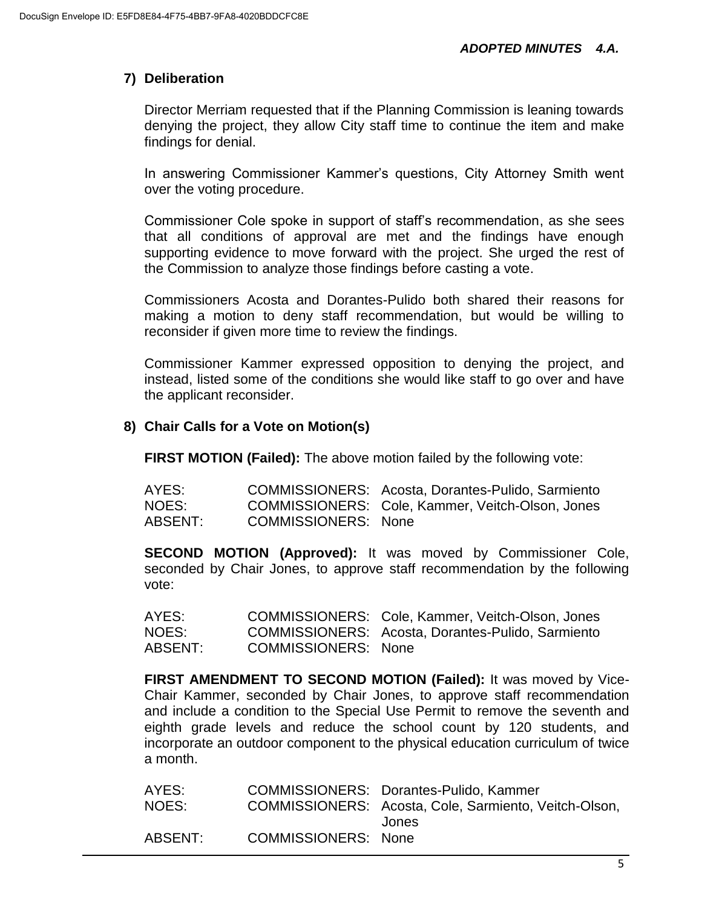# **7) Deliberation**

Director Merriam requested that if the Planning Commission is leaning towards denying the project, they allow City staff time to continue the item and make findings for denial.

In answering Commissioner Kammer's questions, City Attorney Smith went over the voting procedure.

Commissioner Cole spoke in support of staff's recommendation, as she sees that all conditions of approval are met and the findings have enough supporting evidence to move forward with the project. She urged the rest of the Commission to analyze those findings before casting a vote.

Commissioners Acosta and Dorantes-Pulido both shared their reasons for making a motion to deny staff recommendation, but would be willing to reconsider if given more time to review the findings.

Commissioner Kammer expressed opposition to denying the project, and instead, listed some of the conditions she would like staff to go over and have the applicant reconsider.

### **8) Chair Calls for a Vote on Motion(s)**

**FIRST MOTION (Failed):** The above motion failed by the following vote:

| AYES:   |                            | COMMISSIONERS: Acosta, Dorantes-Pulido, Sarmiento |
|---------|----------------------------|---------------------------------------------------|
| NOES:   |                            | COMMISSIONERS: Cole, Kammer, Veitch-Olson, Jones  |
| ABSENT: | <b>COMMISSIONERS: None</b> |                                                   |

**SECOND MOTION (Approved):** It was moved by Commissioner Cole, seconded by Chair Jones, to approve staff recommendation by the following vote:

| AYES:   |                     | COMMISSIONERS: Cole, Kammer, Veitch-Olson, Jones  |
|---------|---------------------|---------------------------------------------------|
| NOES:   |                     | COMMISSIONERS: Acosta, Dorantes-Pulido, Sarmiento |
| ABSENT: | COMMISSIONERS: None |                                                   |

**FIRST AMENDMENT TO SECOND MOTION (Failed):** It was moved by Vice-Chair Kammer, seconded by Chair Jones, to approve staff recommendation and include a condition to the Special Use Permit to remove the seventh and eighth grade levels and reduce the school count by 120 students, and incorporate an outdoor component to the physical education curriculum of twice a month.

AYES: COMMISSIONERS: Dorantes-Pulido, Kammer NOES: COMMISSIONERS: Acosta, Cole, Sarmiento, Veitch-Olson, Jones ABSENT: COMMISSIONERS: None